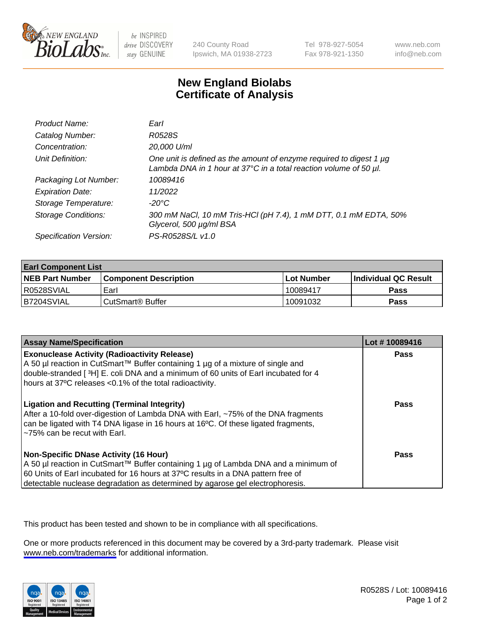

be INSPIRED drive DISCOVERY stay GENUINE

240 County Road Ipswich, MA 01938-2723 Tel 978-927-5054 Fax 978-921-1350

www.neb.com info@neb.com

## **New England Biolabs Certificate of Analysis**

| Product Name:              | Earl                                                                                                                                                    |
|----------------------------|---------------------------------------------------------------------------------------------------------------------------------------------------------|
| Catalog Number:            | R0528S                                                                                                                                                  |
| Concentration:             | 20,000 U/ml                                                                                                                                             |
| Unit Definition:           | One unit is defined as the amount of enzyme required to digest 1 µg<br>Lambda DNA in 1 hour at $37^{\circ}$ C in a total reaction volume of 50 $\mu$ l. |
| Packaging Lot Number:      | 10089416                                                                                                                                                |
| <b>Expiration Date:</b>    | 11/2022                                                                                                                                                 |
| Storage Temperature:       | $-20^{\circ}$ C                                                                                                                                         |
| <b>Storage Conditions:</b> | 300 mM NaCl, 10 mM Tris-HCl (pH 7.4), 1 mM DTT, 0.1 mM EDTA, 50%<br>Glycerol, 500 µg/ml BSA                                                             |
| Specification Version:     | PS-R0528S/L v1.0                                                                                                                                        |

| <b>Earl Component List</b> |                              |                   |                        |  |  |
|----------------------------|------------------------------|-------------------|------------------------|--|--|
| <b>NEB Part Number</b>     | <b>Component Description</b> | <b>Lot Number</b> | l Individual QC Result |  |  |
| R0528SVIAL                 | Earl                         | 10089417          | Pass                   |  |  |
| I B7204SVIAL               | CutSmart <sup>®</sup> Buffer | 10091032          | Pass                   |  |  |

| <b>Assay Name/Specification</b>                                                                                                                                                                                                                                                                     | Lot #10089416 |
|-----------------------------------------------------------------------------------------------------------------------------------------------------------------------------------------------------------------------------------------------------------------------------------------------------|---------------|
| <b>Exonuclease Activity (Radioactivity Release)</b><br>A 50 µl reaction in CutSmart™ Buffer containing 1 µg of a mixture of single and<br>double-stranded [3H] E. coli DNA and a minimum of 60 units of Earl incubated for 4<br>hours at 37°C releases <0.1% of the total radioactivity.            | <b>Pass</b>   |
| <b>Ligation and Recutting (Terminal Integrity)</b><br>After a 10-fold over-digestion of Lambda DNA with Earl, ~75% of the DNA fragments<br>can be ligated with T4 DNA ligase in 16 hours at 16°C. Of these ligated fragments,<br>~75% can be recut with Earl.                                       | Pass          |
| Non-Specific DNase Activity (16 Hour)<br>  A 50 µl reaction in CutSmart™ Buffer containing 1 µg of Lambda DNA and a minimum of<br>60 Units of Earl incubated for 16 hours at 37°C results in a DNA pattern free of<br>detectable nuclease degradation as determined by agarose gel electrophoresis. | Pass          |

This product has been tested and shown to be in compliance with all specifications.

One or more products referenced in this document may be covered by a 3rd-party trademark. Please visit <www.neb.com/trademarks>for additional information.